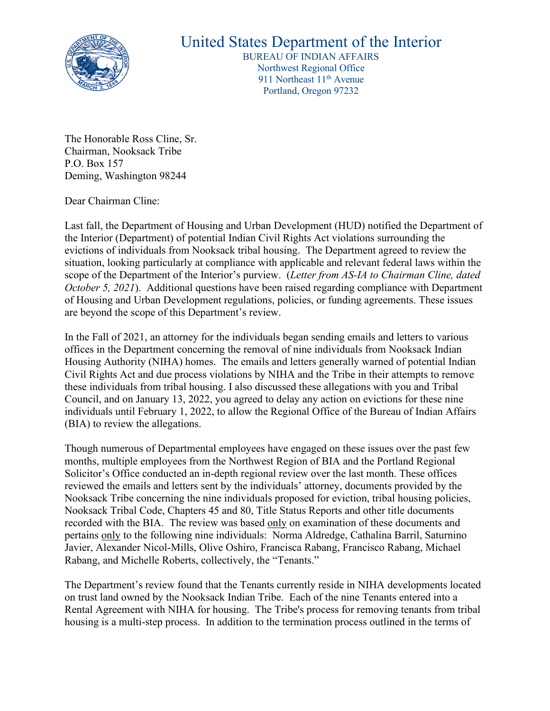

## United States Department of the Interior

BUREAU OF INDIAN AFFAIRS Northwest Regional Office 911 Northeast 11<sup>th</sup> Avenue Portland, Oregon 97232

The Honorable Ross Cline, Sr. Chairman, Nooksack Tribe P.O. Box 157 Deming, Washington 98244

Dear Chairman Cline:

Last fall, the Department of Housing and Urban Development (HUD) notified the Department of the Interior (Department) of potential Indian Civil Rights Act violations surrounding the evictions of individuals from Nooksack tribal housing. The Department agreed to review the situation, looking particularly at compliance with applicable and relevant federal laws within the scope of the Department of the Interior's purview. (*Letter from AS-IA to Chairman Cline, dated October 5, 2021*). Additional questions have been raised regarding compliance with Department of Housing and Urban Development regulations, policies, or funding agreements. These issues are beyond the scope of this Department's review.

In the Fall of 2021, an attorney for the individuals began sending emails and letters to various offices in the Department concerning the removal of nine individuals from Nooksack Indian Housing Authority (NIHA) homes. The emails and letters generally warned of potential Indian Civil Rights Act and due process violations by NIHA and the Tribe in their attempts to remove these individuals from tribal housing. I also discussed these allegations with you and Tribal Council, and on January 13, 2022, you agreed to delay any action on evictions for these nine individuals until February 1, 2022, to allow the Regional Office of the Bureau of Indian Affairs (BIA) to review the allegations.

Though numerous of Departmental employees have engaged on these issues over the past few months, multiple employees from the Northwest Region of BIA and the Portland Regional Solicitor's Office conducted an in-depth regional review over the last month. These offices reviewed the emails and letters sent by the individuals' attorney, documents provided by the Nooksack Tribe concerning the nine individuals proposed for eviction, tribal housing policies, Nooksack Tribal Code, Chapters 45 and 80, Title Status Reports and other title documents recorded with the BIA. The review was based only on examination of these documents and pertains only to the following nine individuals: Norma Aldredge, Cathalina Barril, Saturnino Javier, Alexander Nicol-Mills, Olive Oshiro, Francisca Rabang, Francisco Rabang, Michael Rabang, and Michelle Roberts, collectively, the "Tenants."

The Department's review found that the Tenants currently reside in NIHA developments located on trust land owned by the Nooksack Indian Tribe. Each of the nine Tenants entered into a Rental Agreement with NIHA for housing. The Tribe's process for removing tenants from tribal housing is a multi-step process. In addition to the termination process outlined in the terms of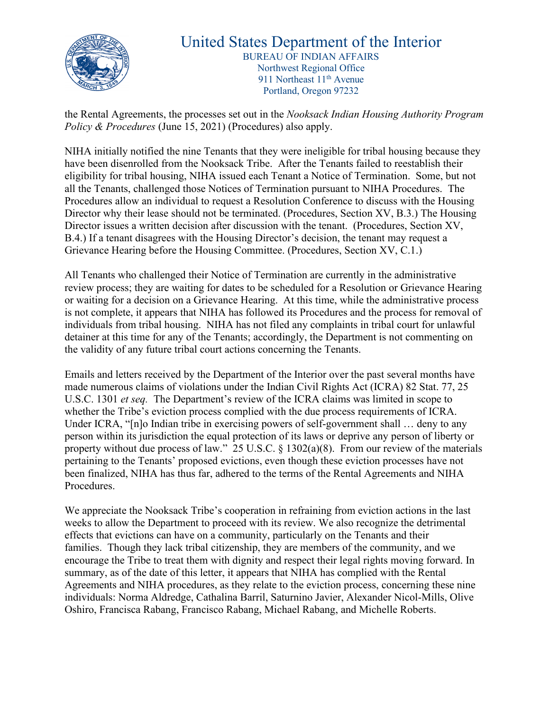

## United States Department of the Interior BUREAU OF INDIAN AFFAIRS Northwest Regional Office 911 Northeast 11<sup>th</sup> Avenue Portland, Oregon 97232

the Rental Agreements, the processes set out in the *Nooksack Indian Housing Authority Program Policy & Procedures* (June 15, 2021) (Procedures) also apply.

NIHA initially notified the nine Tenants that they were ineligible for tribal housing because they have been disenrolled from the Nooksack Tribe. After the Tenants failed to reestablish their eligibility for tribal housing, NIHA issued each Tenant a Notice of Termination. Some, but not all the Tenants, challenged those Notices of Termination pursuant to NIHA Procedures. The Procedures allow an individual to request a Resolution Conference to discuss with the Housing Director why their lease should not be terminated. (Procedures, Section XV, B.3.) The Housing Director issues a written decision after discussion with the tenant. (Procedures, Section XV, B.4.) If a tenant disagrees with the Housing Director's decision, the tenant may request a Grievance Hearing before the Housing Committee. (Procedures, Section XV, C.1.)

All Tenants who challenged their Notice of Termination are currently in the administrative review process; they are waiting for dates to be scheduled for a Resolution or Grievance Hearing or waiting for a decision on a Grievance Hearing. At this time, while the administrative process is not complete, it appears that NIHA has followed its Procedures and the process for removal of individuals from tribal housing. NIHA has not filed any complaints in tribal court for unlawful detainer at this time for any of the Tenants; accordingly, the Department is not commenting on the validity of any future tribal court actions concerning the Tenants.

Emails and letters received by the Department of the Interior over the past several months have made numerous claims of violations under the Indian Civil Rights Act (ICRA) 82 Stat. 77, 25 U.S.C. 1301 *et seq.* The Department's review of the ICRA claims was limited in scope to whether the Tribe's eviction process complied with the due process requirements of ICRA. Under ICRA, "[n]o Indian tribe in exercising powers of self-government shall … deny to any person within its jurisdiction the equal protection of its laws or deprive any person of liberty or property without due process of law." 25 U.S.C. § 1302(a)(8). From our review of the materials pertaining to the Tenants' proposed evictions, even though these eviction processes have not been finalized, NIHA has thus far, adhered to the terms of the Rental Agreements and NIHA Procedures.

We appreciate the Nooksack Tribe's cooperation in refraining from eviction actions in the last weeks to allow the Department to proceed with its review. We also recognize the detrimental effects that evictions can have on a community, particularly on the Tenants and their families. Though they lack tribal citizenship, they are members of the community, and we encourage the Tribe to treat them with dignity and respect their legal rights moving forward. In summary, as of the date of this letter, it appears that NIHA has complied with the Rental Agreements and NIHA procedures, as they relate to the eviction process, concerning these nine individuals: Norma Aldredge, Cathalina Barril, Saturnino Javier, Alexander Nicol-Mills, Olive Oshiro, Francisca Rabang, Francisco Rabang, Michael Rabang, and Michelle Roberts.